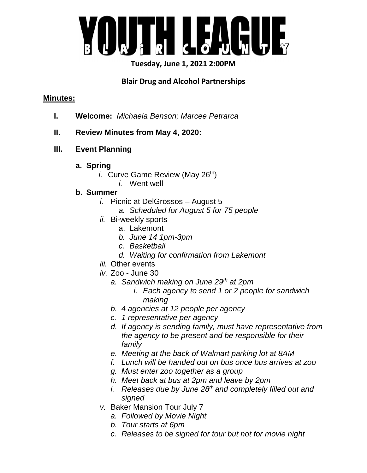

# **Tuesday, June 1, 2021 2:00PM**

# **Blair Drug and Alcohol Partnerships**

### **Minutes:**

- **I. Welcome:** *Michaela Benson; Marcee Petrarca*
- **II. Review Minutes from May 4, 2020:**
- **III. Event Planning** 
	- **a. Spring** 
		- *i.* Curve Game Review (May 26<sup>th</sup>)
			- *i.* Went well

# **b. Summer**

- *i.* Picnic at DelGrossos August 5
	- *a. Scheduled for August 5 for 75 people*
- *ii.* Bi-weekly sports
	- a. Lakemont
	- *b. June 14 1pm-3pm*
	- *c. Basketball*
	- *d. Waiting for confirmation from Lakemont*
- *iii.* Other events
- *iv.* Zoo June 30
	- *a. Sandwich making on June 29th at 2pm* 
		- *i. Each agency to send 1 or 2 people for sandwich making*
	- *b. 4 agencies at 12 people per agency*
	- *c. 1 representative per agency*
	- *d. If agency is sending family, must have representative from the agency to be present and be responsible for their family*
	- *e. Meeting at the back of Walmart parking lot at 8AM*
	- *f. Lunch will be handed out on bus once bus arrives at zoo*
	- *g. Must enter zoo together as a group*
	- *h. Meet back at bus at 2pm and leave by 2pm*
	- *i. Releases due by June 28th and completely filled out and signed*
- *v.* Baker Mansion Tour July 7
	- *a. Followed by Movie Night*
	- *b. Tour starts at 6pm*
	- *c. Releases to be signed for tour but not for movie night*